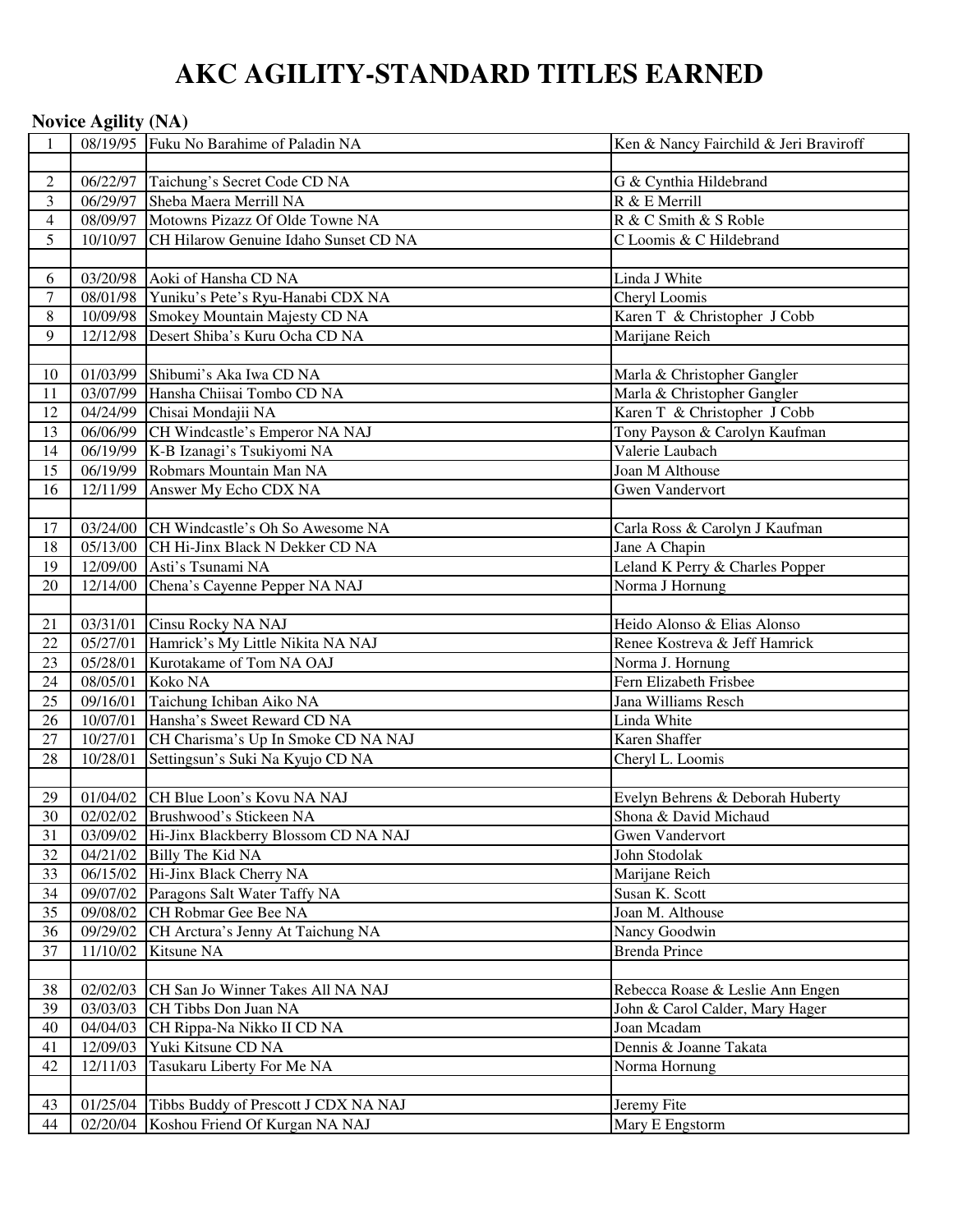# **AKC AGILITY-STANDARD TITLES EARNED**

|                | <b>Novice Agility (NA)</b> |                                                                                          |                                        |
|----------------|----------------------------|------------------------------------------------------------------------------------------|----------------------------------------|
|                |                            | 08/19/95 Fuku No Barahime of Paladin NA                                                  | Ken & Nancy Fairchild & Jeri Braviroff |
|                |                            |                                                                                          |                                        |
| $\sqrt{2}$     | 06/22/97                   | Taichung's Secret Code CD NA                                                             | G & Cynthia Hildebrand                 |
| 3              | 06/29/97                   | Sheba Maera Merrill NA                                                                   | R & E Merrill                          |
| $\overline{4}$ | 08/09/97                   | Motowns Pizazz Of Olde Towne NA                                                          | R & C Smith & S Roble                  |
| 5              | 10/10/97                   | CH Hilarow Genuine Idaho Sunset CD NA                                                    | C Loomis & C Hildebrand                |
|                |                            |                                                                                          |                                        |
| 6              |                            | 03/20/98 Aoki of Hansha CD NA                                                            | Linda J White                          |
| $\tau$         |                            | 08/01/98 Yuniku's Pete's Ryu-Hanabi CDX NA                                               | Cheryl Loomis                          |
| $\,8\,$        | 10/09/98                   | Smokey Mountain Majesty CD NA                                                            | Karen T & Christopher J Cobb           |
| 9              | 12/12/98                   | Desert Shiba's Kuru Ocha CD NA                                                           | Marijane Reich                         |
|                |                            |                                                                                          |                                        |
| 10             |                            | 01/03/99 Shibumi's Aka Iwa CD NA                                                         | Marla & Christopher Gangler            |
| 11             | 03/07/99                   | Hansha Chiisai Tombo CD NA                                                               | Marla & Christopher Gangler            |
| 12             |                            | 04/24/99 Chisai Mondajii NA                                                              | Karen T & Christopher J Cobb           |
| 13             |                            | 06/06/99 CH Windcastle's Emperor NA NAJ                                                  | Tony Payson & Carolyn Kaufman          |
| 14             | 06/19/99                   | K-B Izanagi's Tsukiyomi NA                                                               | Valerie Laubach                        |
| 15             | 06/19/99                   | Robmars Mountain Man NA                                                                  | Joan M Althouse                        |
| 16             | 12/11/99                   | Answer My Echo CDX NA                                                                    | <b>Gwen Vandervort</b>                 |
|                |                            |                                                                                          |                                        |
| 17             | 03/24/00                   | CH Windcastle's Oh So Awesome NA                                                         | Carla Ross & Carolyn J Kaufman         |
| 18             | 05/13/00                   | CH Hi-Jinx Black N Dekker CD NA                                                          | Jane A Chapin                          |
| 19             | 12/09/00                   | Asti's Tsunami NA                                                                        | Leland K Perry & Charles Popper        |
| 20             | 12/14/00                   | Chena's Cayenne Pepper NA NAJ                                                            | Norma J Hornung                        |
|                |                            |                                                                                          |                                        |
| 21             | 03/31/01                   | Cinsu Rocky NA NAJ                                                                       | Heido Alonso & Elias Alonso            |
| 22             | 05/27/01                   | Hamrick's My Little Nikita NA NAJ                                                        | Renee Kostreva & Jeff Hamrick          |
| 23             | 05/28/01                   | Kurotakame of Tom NA OAJ                                                                 | Norma J. Hornung                       |
| 24             | 08/05/01                   | Koko NA                                                                                  | Fern Elizabeth Frisbee                 |
| 25             | 09/16/01                   | Taichung Ichiban Aiko NA                                                                 | Jana Williams Resch                    |
| 26             | 10/07/01                   | Hansha's Sweet Reward CD NA                                                              | Linda White                            |
| 27             | 10/27/01                   | CH Charisma's Up In Smoke CD NA NAJ                                                      | Karen Shaffer                          |
| 28             | 10/28/01                   | Settingsun's Suki Na Kyujo CD NA                                                         | Cheryl L. Loomis                       |
|                |                            |                                                                                          |                                        |
| 29             |                            | 01/04/02 CH Blue Loon's Kovu NA NAJ                                                      | Evelyn Behrens & Deborah Huberty       |
| 30             |                            | 02/02/02 Brushwood's Stickeen NA                                                         | Shona & David Michaud                  |
| 31             | 03/09/02                   | Hi-Jinx Blackberry Blossom CD NA NAJ                                                     | Gwen Vandervort                        |
| 32             |                            | 04/21/02 Billy The Kid NA                                                                | John Stodolak                          |
| 33             | 06/15/02                   | Hi-Jinx Black Cherry NA                                                                  | Marijane Reich                         |
| 34             | 09/07/02                   | Paragons Salt Water Taffy NA                                                             | Susan K. Scott                         |
| 35             | 09/08/02                   | CH Robmar Gee Bee NA                                                                     | Joan M. Althouse                       |
| 36             | 09/29/02                   | CH Arctura's Jenny At Taichung NA                                                        | Nancy Goodwin                          |
| 37             | 11/10/02                   | Kitsune NA                                                                               | <b>Brenda Prince</b>                   |
|                |                            |                                                                                          |                                        |
| 38             | 02/02/03                   | CH San Jo Winner Takes All NA NAJ                                                        | Rebecca Roase & Leslie Ann Engen       |
| 39             | 03/03/03                   | CH Tibbs Don Juan NA                                                                     | John & Carol Calder, Mary Hager        |
| 40             | 04/04/03                   | CH Rippa-Na Nikko II CD NA                                                               | Joan Mcadam                            |
| 41             | 12/09/03                   | Yuki Kitsune CD NA                                                                       | Dennis & Joanne Takata                 |
| 42             | 12/11/03                   | Tasukaru Liberty For Me NA                                                               | Norma Hornung                          |
|                |                            |                                                                                          |                                        |
| 43<br>44       |                            | 01/25/04 Tibbs Buddy of Prescott J CDX NA NAJ<br>02/20/04 Koshou Friend Of Kurgan NA NAJ | Jeremy Fite<br>Mary E Engstorm         |
|                |                            |                                                                                          |                                        |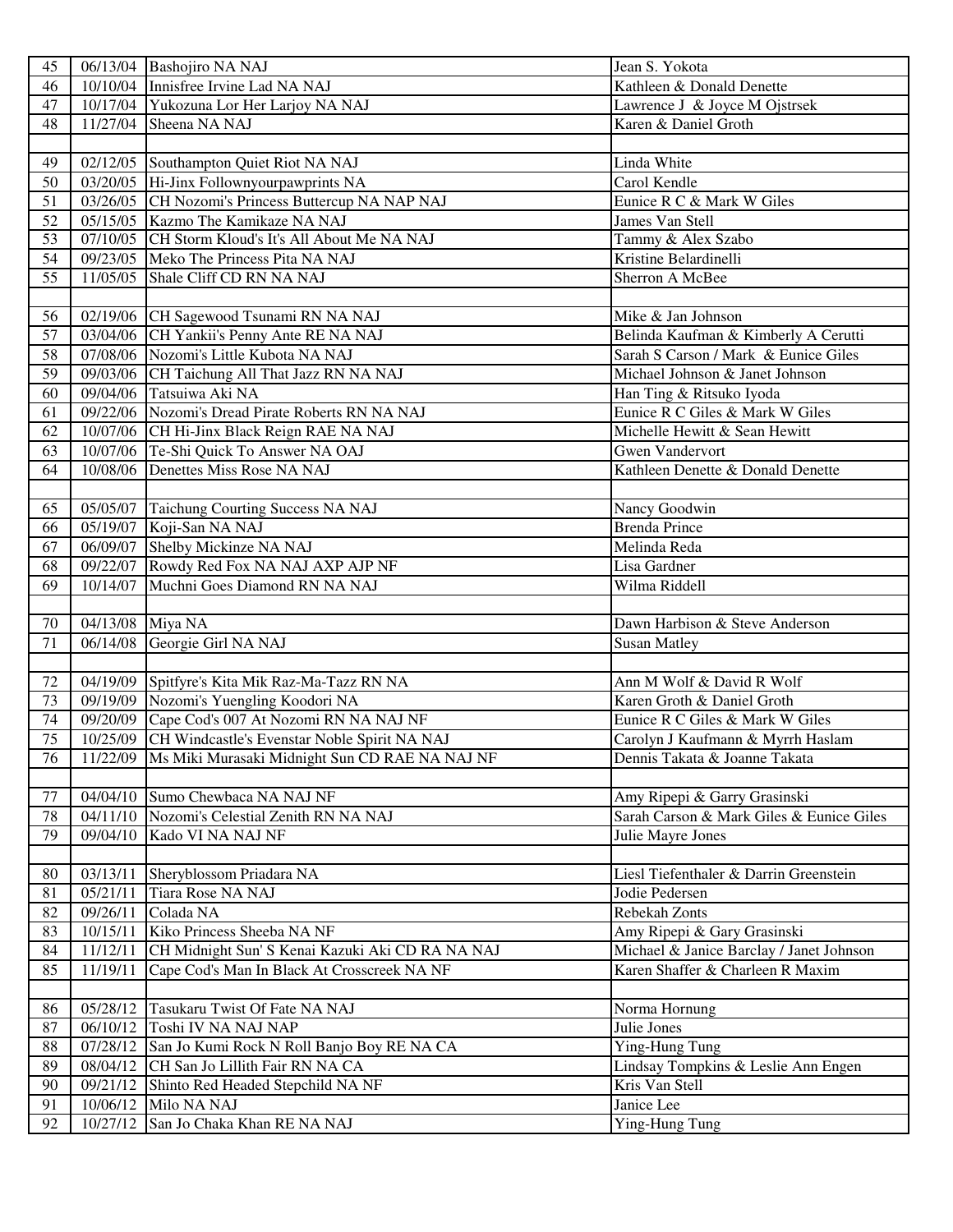| 45              |                      | 06/13/04 Bashojiro NA NAJ                               | Jean S. Yokota                           |
|-----------------|----------------------|---------------------------------------------------------|------------------------------------------|
| 46              |                      | 10/10/04 Innisfree Irvine Lad NA NAJ                    | Kathleen & Donald Denette                |
| 47              |                      | 10/17/04 Yukozuna Lor Her Larjoy NA NAJ                 | Lawrence J & Joyce M Ojstrsek            |
| 48              |                      | 11/27/04 Sheena NA NAJ                                  | Karen & Daniel Groth                     |
|                 |                      |                                                         |                                          |
| 49              |                      | 02/12/05 Southampton Quiet Riot NA NAJ                  | Linda White                              |
| 50              |                      | 03/20/05 Hi-Jinx Follownyourpawprints NA                | Carol Kendle                             |
| 51              |                      | 03/26/05 CH Nozomi's Princess Buttercup NA NAP NAJ      | Eunice R C & Mark W Giles                |
| 52              |                      | 05/15/05 Kazmo The Kamikaze NA NAJ                      | James Van Stell                          |
| 53              |                      | 07/10/05 CH Storm Kloud's It's All About Me NA NAJ      | Tammy & Alex Szabo                       |
| 54              |                      | 09/23/05 Meko The Princess Pita NA NAJ                  | Kristine Belardinelli                    |
| 55              |                      | 11/05/05 Shale Cliff CD RN NA NAJ                       | Sherron A McBee                          |
|                 |                      |                                                         |                                          |
| 56              |                      | 02/19/06 CH Sagewood Tsunami RN NA NAJ                  | Mike & Jan Johnson                       |
| 57              |                      | 03/04/06 CH Yankii's Penny Ante RE NA NAJ               | Belinda Kaufman & Kimberly A Cerutti     |
| 58              |                      | 07/08/06 Nozomi's Little Kubota NA NAJ                  | Sarah S Carson / Mark & Eunice Giles     |
| 59              |                      | 09/03/06 CH Taichung All That Jazz RN NA NAJ            | Michael Johnson & Janet Johnson          |
| 60              |                      | 09/04/06 Tatsuiwa Aki NA                                | Han Ting & Ritsuko Iyoda                 |
| 61              |                      | 09/22/06 Nozomi's Dread Pirate Roberts RN NA NAJ        | Eunice R C Giles & Mark W Giles          |
| 62              |                      | 10/07/06 CH Hi-Jinx Black Reign RAE NA NAJ              | Michelle Hewitt & Sean Hewitt            |
| 63              |                      | 10/07/06 Te-Shi Quick To Answer NA OAJ                  | <b>Gwen Vandervort</b>                   |
| 64              |                      | 10/08/06 Denettes Miss Rose NA NAJ                      | Kathleen Denette & Donald Denette        |
|                 |                      |                                                         |                                          |
| 65              |                      | 05/05/07 Taichung Courting Success NA NAJ               | Nancy Goodwin                            |
| 66              |                      | 05/19/07 Koji-San NA NAJ                                | <b>Brenda Prince</b>                     |
| 67              |                      | 06/09/07 Shelby Mickinze NA NAJ                         | Melinda Reda                             |
| 68              |                      | 09/22/07 Rowdy Red Fox NA NAJ AXP AJP NF                | Lisa Gardner                             |
| 69              |                      | 10/14/07 Muchni Goes Diamond RN NA NAJ                  | Wilma Riddell                            |
|                 |                      |                                                         |                                          |
|                 |                      |                                                         |                                          |
| 70              | 04/13/08 Miya NA     |                                                         | Dawn Harbison & Steve Anderson           |
| 71              |                      | 06/14/08 Georgie Girl NA NAJ                            | <b>Susan Matley</b>                      |
|                 |                      |                                                         |                                          |
| 72              |                      | 04/19/09 Spitfyre's Kita Mik Raz-Ma-Tazz RN NA          | Ann M Wolf & David R Wolf                |
| 73              |                      | 09/19/09 Nozomi's Yuengling Koodori NA                  | Karen Groth & Daniel Groth               |
| 74              |                      | 09/20/09 Cape Cod's 007 At Nozomi RN NA NAJ NF          | Eunice R C Giles & Mark W Giles          |
| 75              |                      | 10/25/09 CH Windcastle's Evenstar Noble Spirit NA NAJ   | Carolyn J Kaufmann & Myrrh Haslam        |
| $\overline{76}$ |                      | 11/22/09 Ms Miki Murasaki Midnight Sun CD RAE NA NAJ NF | Dennis Takata & Joanne Takata            |
|                 |                      |                                                         |                                          |
| 77              | 04/04/10             | Sumo Chewbaca NA NAJ NF                                 | Amy Ripepi & Garry Grasinski             |
| 78              |                      | 04/11/10 Nozomi's Celestial Zenith RN NA NAJ            | Sarah Carson & Mark Giles & Eunice Giles |
| 79              | 09/04/10             | Kado VI NA NAJ NF                                       | Julie Mayre Jones                        |
|                 |                      |                                                         |                                          |
| 80              | 03/13/11             | Sheryblossom Priadara NA                                | Liesl Tiefenthaler & Darrin Greenstein   |
| 81              | 05/21/11             | Tiara Rose NA NAJ                                       | Jodie Pedersen                           |
| 82              | 09/26/11             | Colada NA                                               | Rebekah Zonts                            |
| 83              | 10/15/11             | Kiko Princess Sheeba NA NF                              | Amy Ripepi & Gary Grasinski              |
| 84              | 11/12/11             | CH Midnight Sun' S Kenai Kazuki Aki CD RA NA NAJ        | Michael & Janice Barclay / Janet Johnson |
| 85              | 11/19/11             | Cape Cod's Man In Black At Crosscreek NA NF             | Karen Shaffer & Charleen R Maxim         |
|                 |                      |                                                         |                                          |
| 86              | 05/28/12             | Tasukaru Twist Of Fate NA NAJ                           | Norma Hornung                            |
| 87              | 06/10/12             | Toshi IV NA NAJ NAP                                     | Julie Jones                              |
| 88              | 07/28/12             | San Jo Kumi Rock N Roll Banjo Boy RE NA CA              | Ying-Hung Tung                           |
| 89              | 08/04/12             | CH San Jo Lillith Fair RN NA CA                         | Lindsay Tompkins & Leslie Ann Engen      |
| 90              | 09/21/12             | Shinto Red Headed Stepchild NA NF                       | Kris Van Stell                           |
| 91<br>92        | 10/06/12<br>10/27/12 | Milo NA NAJ<br>San Jo Chaka Khan RE NA NAJ              | Janice Lee<br>Ying-Hung Tung             |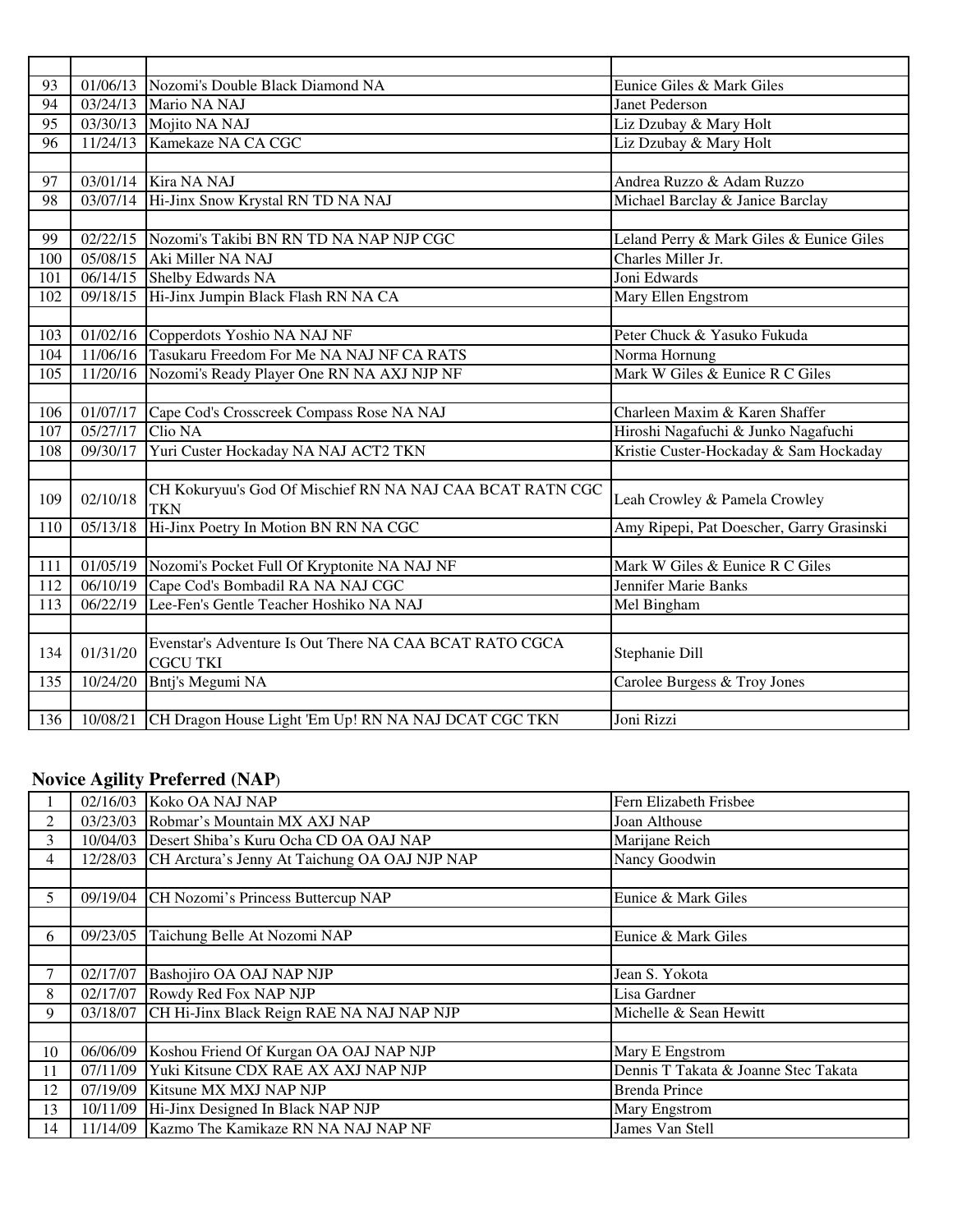| 93              |          | 01/06/13 Nozomi's Double Black Diamond NA                 | Eunice Giles & Mark Giles                 |
|-----------------|----------|-----------------------------------------------------------|-------------------------------------------|
| 94              |          | 03/24/13 Mario NA NAJ                                     | Janet Pederson                            |
| $\overline{95}$ |          | 03/30/13 Mojito NA NAJ                                    | Liz Dzubay & Mary Holt                    |
| 96              |          | 11/24/13 Kamekaze NA CA CGC                               | Liz Dzubay & Mary Holt                    |
|                 |          |                                                           |                                           |
| $\overline{97}$ |          | 03/01/14 Kira NA NAJ                                      | Andrea Ruzzo & Adam Ruzzo                 |
| 98              |          | 03/07/14 Hi-Jinx Snow Krystal RN TD NA NAJ                | Michael Barclay & Janice Barclay          |
|                 |          |                                                           |                                           |
| 99              |          | 02/22/15 Nozomi's Takibi BN RN TD NA NAP NJP CGC          | Leland Perry & Mark Giles & Eunice Giles  |
| 100             | 05/08/15 | Aki Miller NA NAJ                                         | Charles Miller Jr.                        |
| 101             |          | 06/14/15 Shelby Edwards NA                                | Joni Edwards                              |
| 102             |          | 09/18/15 Hi-Jinx Jumpin Black Flash RN NA CA              | Mary Ellen Engstrom                       |
|                 |          |                                                           |                                           |
| 103             |          | 01/02/16 Copperdots Yoshio NA NAJ NF                      | Peter Chuck & Yasuko Fukuda               |
| 104             |          | 11/06/16 Tasukaru Freedom For Me NA NAJ NF CA RATS        | Norma Hornung                             |
| 105             |          | 11/20/16 Nozomi's Ready Player One RN NA AXJ NJP NF       | Mark W Giles & Eunice R C Giles           |
|                 |          |                                                           |                                           |
| 106             |          | 01/07/17 Cape Cod's Crosscreek Compass Rose NA NAJ        | Charleen Maxim & Karen Shaffer            |
| 107             | 05/27/17 | Clio NA                                                   | Hiroshi Nagafuchi & Junko Nagafuchi       |
| 108             | 09/30/17 | Yuri Custer Hockaday NA NAJ ACT2 TKN                      | Kristie Custer-Hockaday & Sam Hockaday    |
|                 |          |                                                           |                                           |
| 109             | 02/10/18 | CH Kokuryuu's God Of Mischief RN NA NAJ CAA BCAT RATN CGC | Leah Crowley & Pamela Crowley             |
|                 |          | <b>TKN</b>                                                |                                           |
| 110             | 05/13/18 | Hi-Jinx Poetry In Motion BN RN NA CGC                     | Amy Ripepi, Pat Doescher, Garry Grasinski |
|                 |          |                                                           |                                           |
| 111             |          | 01/05/19 Nozomi's Pocket Full Of Kryptonite NA NAJ NF     | Mark W Giles & Eunice R C Giles           |
| 112             |          | 06/10/19 Cape Cod's Bombadil RA NA NAJ CGC                | Jennifer Marie Banks                      |
| 113             |          | 06/22/19 Lee-Fen's Gentle Teacher Hoshiko NA NAJ          | Mel Bingham                               |
|                 |          |                                                           |                                           |
| 134             | 01/31/20 | Evenstar's Adventure Is Out There NA CAA BCAT RATO CGCA   | Stephanie Dill                            |
|                 |          | <b>CGCU TKI</b>                                           |                                           |
| 135             | 10/24/20 | Bntj's Megumi NA                                          | Carolee Burgess & Troy Jones              |
|                 |          |                                                           |                                           |
| 136             | 10/08/21 | CH Dragon House Light 'Em Up! RN NA NAJ DCAT CGC TKN      | Joni Rizzi                                |

# **Novice Agility Preferred (NAP**)

|    |          | 02/16/03 Koko OA NAJ NAP                               | Fern Elizabeth Frisbee               |
|----|----------|--------------------------------------------------------|--------------------------------------|
| 2  |          | 03/23/03 Robmar's Mountain MX AXJ NAP                  | Joan Althouse                        |
| 3  |          | 10/04/03 Desert Shiba's Kuru Ocha CD OA OAJ NAP        | Marijane Reich                       |
| 4  |          | 12/28/03 CH Arctura's Jenny At Taichung OA OAJ NJP NAP | Nancy Goodwin                        |
|    |          |                                                        |                                      |
| 5. |          | 09/19/04 CH Nozomi's Princess Buttercup NAP            | Eunice & Mark Giles                  |
|    |          |                                                        |                                      |
| 6  | 09/23/05 | Taichung Belle At Nozomi NAP                           | Eunice & Mark Giles                  |
|    |          |                                                        |                                      |
|    | 02/17/07 | Bashojiro OA OAJ NAP NJP                               | Jean S. Yokota                       |
| 8  |          | 02/17/07 Rowdy Red Fox NAP NJP                         | Lisa Gardner                         |
| 9  |          | 03/18/07 CH Hi-Jinx Black Reign RAE NA NAJ NAP NJP     | Michelle & Sean Hewitt               |
|    |          |                                                        |                                      |
| 10 | 06/06/09 | Koshou Friend Of Kurgan OA OAJ NAP NJP                 | Mary E Engstrom                      |
| 11 |          | 07/11/09 Yuki Kitsune CDX RAE AX AXJ NAP NJP           | Dennis T Takata & Joanne Stec Takata |
| 12 |          | 07/19/09 Kitsune MX MXJ NAP NJP                        | <b>Brenda Prince</b>                 |
| 13 |          | 10/11/09 Hi-Jinx Designed In Black NAP NJP             | Mary Engstrom                        |
| 14 | 11/14/09 | Kazmo The Kamikaze RN NA NAJ NAP NF                    | James Van Stell                      |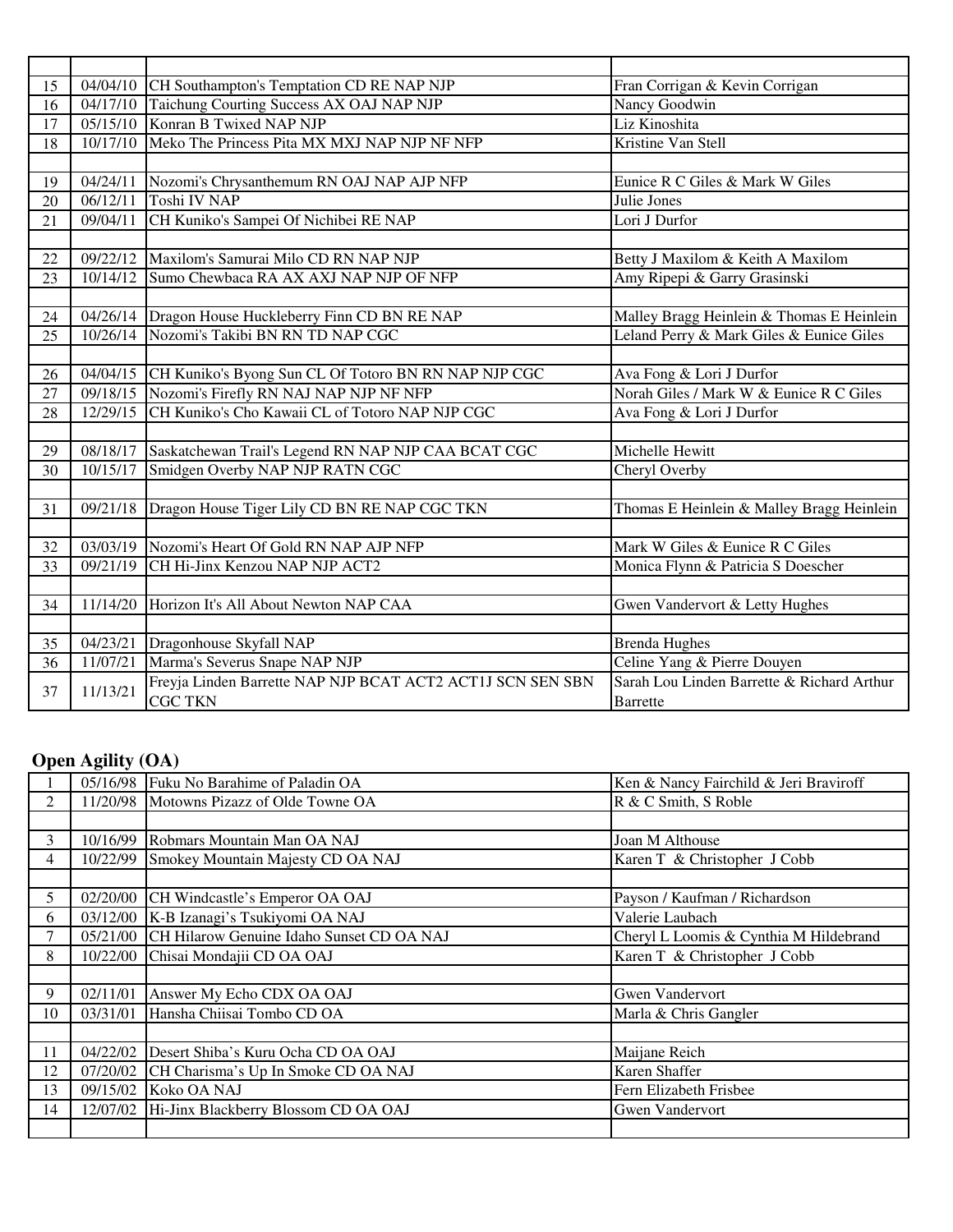| 15 |          | 04/04/10 CH Southampton's Temptation CD RE NAP NJP            | Fran Corrigan & Kevin Corrigan             |
|----|----------|---------------------------------------------------------------|--------------------------------------------|
| 16 |          | 04/17/10 Taichung Courting Success AX OAJ NAP NJP             | Nancy Goodwin                              |
| 17 |          | 05/15/10 Konran B Twixed NAP NJP                              | Liz Kinoshita                              |
| 18 | 10/17/10 | Meko The Princess Pita MX MXJ NAP NJP NF NFP                  | Kristine Van Stell                         |
|    |          |                                                               |                                            |
| 19 | 04/24/11 | Nozomi's Chrysanthemum RN OAJ NAP AJP NFP                     | Eunice R C Giles & Mark W Giles            |
| 20 | 06/12/11 | <b>Toshi IV NAP</b>                                           | Julie Jones                                |
| 21 | 09/04/11 | CH Kuniko's Sampei Of Nichibei RE NAP                         | Lori J Durfor                              |
|    |          |                                                               |                                            |
| 22 |          | 09/22/12 Maxilom's Samurai Milo CD RN NAP NJP                 | Betty J Maxilom & Keith A Maxilom          |
| 23 | 10/14/12 | Sumo Chewbaca RA AX AXJ NAP NJP OF NFP                        | Amy Ripepi & Garry Grasinski               |
|    |          |                                                               |                                            |
| 24 |          | 04/26/14 Dragon House Huckleberry Finn CD BN RE NAP           | Malley Bragg Heinlein & Thomas E Heinlein  |
| 25 |          | 10/26/14 Nozomi's Takibi BN RN TD NAP CGC                     | Leland Perry & Mark Giles & Eunice Giles   |
|    |          |                                                               |                                            |
| 26 |          | 04/04/15 CH Kuniko's Byong Sun CL Of Totoro BN RN NAP NJP CGC | Ava Fong & Lori J Durfor                   |
| 27 | 09/18/15 | Nozomi's Firefly RN NAJ NAP NJP NF NFP                        | Norah Giles / Mark W & Eunice R C Giles    |
| 28 | 12/29/15 | CH Kuniko's Cho Kawaii CL of Totoro NAP NJP CGC               | Ava Fong & Lori J Durfor                   |
|    |          |                                                               |                                            |
| 29 | 08/18/17 | Saskatchewan Trail's Legend RN NAP NJP CAA BCAT CGC           | Michelle Hewitt                            |
| 30 | 10/15/17 | Smidgen Overby NAP NJP RATN CGC                               | Cheryl Overby                              |
|    |          |                                                               |                                            |
| 31 |          | 09/21/18 Dragon House Tiger Lily CD BN RE NAP CGC TKN         | Thomas E Heinlein & Malley Bragg Heinlein  |
|    |          |                                                               |                                            |
| 32 |          | 03/03/19 Nozomi's Heart Of Gold RN NAP AJP NFP                | Mark W Giles & Eunice R C Giles            |
| 33 | 09/21/19 | CH Hi-Jinx Kenzou NAP NJP ACT2                                | Monica Flynn & Patricia S Doescher         |
|    |          |                                                               |                                            |
| 34 | 11/14/20 | Horizon It's All About Newton NAP CAA                         | Gwen Vandervort & Letty Hughes             |
|    |          |                                                               |                                            |
| 35 | 04/23/21 | Dragonhouse Skyfall NAP                                       | <b>Brenda Hughes</b>                       |
| 36 | 11/07/21 | Marma's Severus Snape NAP NJP                                 | Celine Yang & Pierre Douyen                |
| 37 | 11/13/21 | Freyja Linden Barrette NAP NJP BCAT ACT2 ACT1J SCN SEN SBN    | Sarah Lou Linden Barrette & Richard Arthur |
|    |          | <b>CGC TKN</b>                                                | <b>Barrette</b>                            |

## **Open Agility (OA)**

|    |          | 05/16/98 Fuku No Barahime of Paladin OA            | Ken & Nancy Fairchild & Jeri Braviroff |
|----|----------|----------------------------------------------------|----------------------------------------|
| 2  |          | 11/20/98 Motowns Pizazz of Olde Towne OA           | R & C Smith, S Roble                   |
|    |          |                                                    |                                        |
| 3  |          | 10/16/99 Robmars Mountain Man OA NAJ               | Joan M Althouse                        |
| 4  |          | 10/22/99 Smokey Mountain Majesty CD OA NAJ         | Karen T & Christopher J Cobb           |
|    |          |                                                    |                                        |
| 5  |          | 02/20/00 CH Windcastle's Emperor OA OAJ            | Payson / Kaufman / Richardson          |
| 6  |          | 03/12/00 K-B Izanagi's Tsukiyomi OA NAJ            | Valerie Laubach                        |
| 7  |          | 05/21/00 CH Hilarow Genuine Idaho Sunset CD OA NAJ | Cheryl L Loomis & Cynthia M Hildebrand |
| 8  |          | 10/22/00 Chisai Mondajii CD OA OAJ                 | Karen T & Christopher J Cobb           |
|    |          |                                                    |                                        |
| 9  | 02/11/01 | Answer My Echo CDX OA OAJ                          | Gwen Vandervort                        |
| 10 |          | 03/31/01 Hansha Chiisai Tombo CD OA                | Marla & Chris Gangler                  |
|    |          |                                                    |                                        |
| 11 |          | 04/22/02 Desert Shiba's Kuru Ocha CD OA OAJ        | Maijane Reich                          |
| 12 |          | 07/20/02 CH Charisma's Up In Smoke CD OA NAJ       | Karen Shaffer                          |
| 13 |          | 09/15/02 Koko OA NAJ                               | Fern Elizabeth Frisbee                 |
| 14 |          | 12/07/02 Hi-Jinx Blackberry Blossom CD OA OAJ      | <b>Gwen Vandervort</b>                 |
|    |          |                                                    |                                        |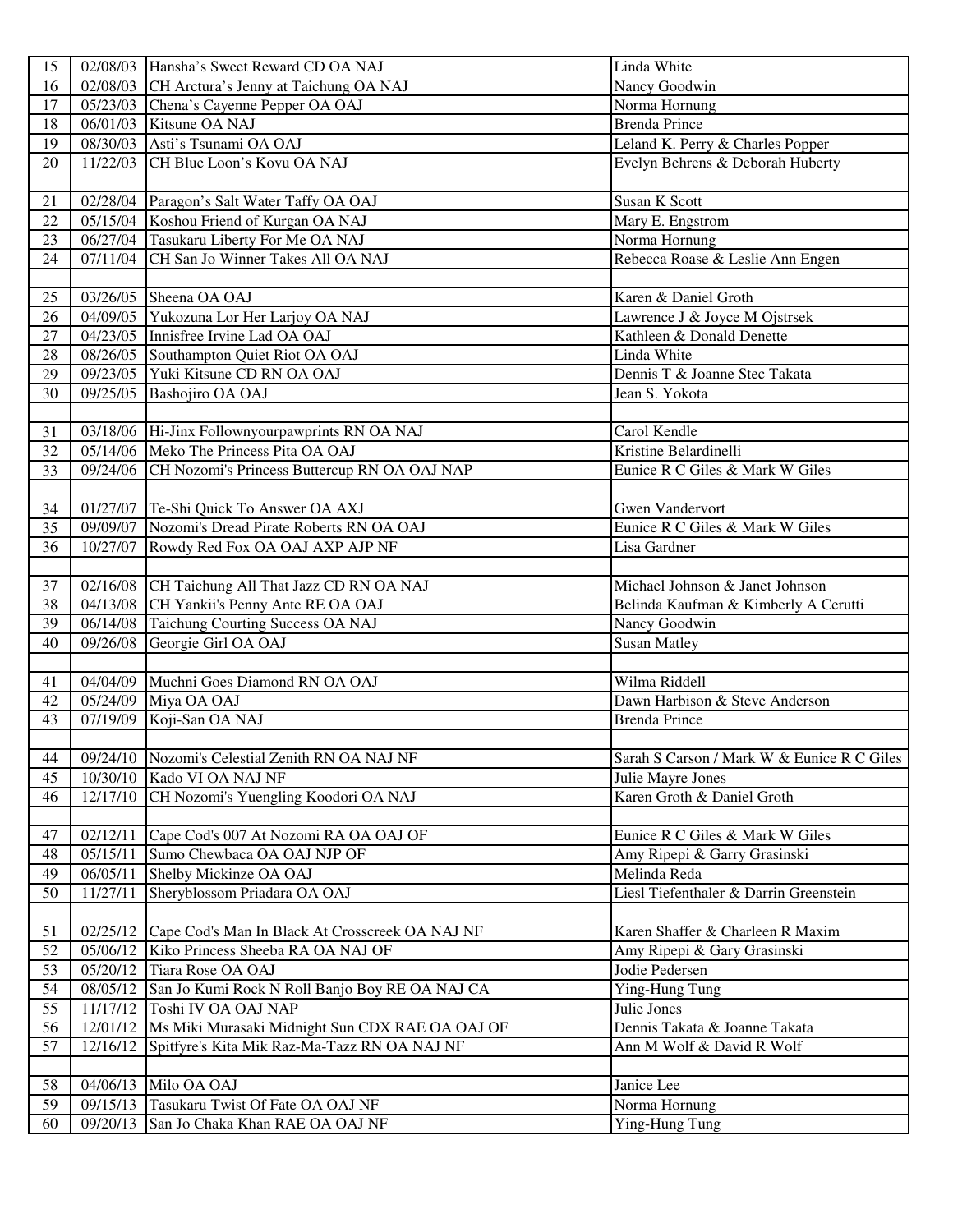| 15              |          | 02/08/03 Hansha's Sweet Reward CD OA NAJ                   | Linda White                                |
|-----------------|----------|------------------------------------------------------------|--------------------------------------------|
| 16              |          | 02/08/03 CH Arctura's Jenny at Taichung OA NAJ             | Nancy Goodwin                              |
| 17              |          | 05/23/03 Chena's Cayenne Pepper OA OAJ                     | Norma Hornung                              |
| 18              |          | 06/01/03 Kitsune OA NAJ                                    | <b>Brenda Prince</b>                       |
| 19              |          | 08/30/03 Asti's Tsunami OA OAJ                             | Leland K. Perry & Charles Popper           |
| 20              |          | 11/22/03 CH Blue Loon's Kovu OA NAJ                        | Evelyn Behrens & Deborah Huberty           |
|                 |          |                                                            |                                            |
| 21              |          | 02/28/04 Paragon's Salt Water Taffy OA OAJ                 | Susan K Scott                              |
| 22              |          | 05/15/04 Koshou Friend of Kurgan OA NAJ                    | Mary E. Engstrom                           |
| 23              |          | 06/27/04 Tasukaru Liberty For Me OA NAJ                    | Norma Hornung                              |
| 24              |          | 07/11/04 CH San Jo Winner Takes All OA NAJ                 | Rebecca Roase & Leslie Ann Engen           |
|                 |          |                                                            |                                            |
| 25              |          | 03/26/05 Sheena OA OAJ                                     | Karen & Daniel Groth                       |
| 26              |          | 04/09/05 Yukozuna Lor Her Larjoy OA NAJ                    | Lawrence J & Joyce M Ojstrsek              |
| 27              |          | 04/23/05 Innisfree Irvine Lad OA OAJ                       | Kathleen & Donald Denette                  |
| 28              |          | 08/26/05 Southampton Quiet Riot OA OAJ                     | Linda White                                |
| 29              |          | 09/23/05 Yuki Kitsune CD RN OA OAJ                         | Dennis T & Joanne Stec Takata              |
| 30              |          | 09/25/05 Bashojiro OA OAJ                                  | Jean S. Yokota                             |
|                 |          |                                                            |                                            |
| 31              |          | 03/18/06 Hi-Jinx Follownyourpawprints RN OA NAJ            | Carol Kendle                               |
| 32              |          | 05/14/06 Meko The Princess Pita OA OAJ                     | Kristine Belardinelli                      |
| 33              |          | 09/24/06 CH Nozomi's Princess Buttercup RN OA OAJ NAP      | Eunice R C Giles & Mark W Giles            |
|                 |          |                                                            |                                            |
| 34              |          | 01/27/07 Te-Shi Quick To Answer OA AXJ                     | <b>Gwen Vandervort</b>                     |
| 35              |          | 09/09/07 Nozomi's Dread Pirate Roberts RN OA OAJ           | Eunice R C Giles & Mark W Giles            |
| 36              |          | 10/27/07 Rowdy Red Fox OA OAJ AXP AJP NF                   | Lisa Gardner                               |
|                 |          |                                                            |                                            |
| 37              |          | 02/16/08 CH Taichung All That Jazz CD RN OA NAJ            | Michael Johnson & Janet Johnson            |
| 38              |          | 04/13/08 CH Yankii's Penny Ante RE OA OAJ                  | Belinda Kaufman & Kimberly A Cerutti       |
| 39              | 06/14/08 | <b>Taichung Courting Success OA NAJ</b>                    | Nancy Goodwin                              |
| 40              |          | 09/26/08 Georgie Girl OA OAJ                               | <b>Susan Matley</b>                        |
|                 |          |                                                            |                                            |
| 41              |          | 04/04/09 Muchni Goes Diamond RN OA OAJ                     | Wilma Riddell                              |
| 42              |          | 05/24/09 Miya OA OAJ                                       | Dawn Harbison & Steve Anderson             |
| 43              |          | 07/19/09 Koji-San OA NAJ                                   | <b>Brenda Prince</b>                       |
|                 |          |                                                            |                                            |
| $\overline{44}$ |          | 09/24/10 Nozomi's Celestial Zenith RN OA NAJ NF            | Sarah S Carson / Mark W & Eunice R C Giles |
| 45              | 10/30/10 | Kado VI OA NAJ NF                                          | Julie Mayre Jones                          |
| 46              | 12/17/10 | CH Nozomi's Yuengling Koodori OA NAJ                       | Karen Groth & Daniel Groth                 |
|                 |          |                                                            |                                            |
| 47              | 02/12/11 | Cape Cod's 007 At Nozomi RA OA OAJ OF                      | Eunice R C Giles & Mark W Giles            |
| 48              | 05/15/11 | Sumo Chewbaca OA OAJ NJP OF                                | Amy Ripepi & Garry Grasinski               |
| 49              | 06/05/11 | Shelby Mickinze OA OAJ                                     | Melinda Reda                               |
| 50              | 11/27/11 | Sheryblossom Priadara OA OAJ                               | Liesl Tiefenthaler & Darrin Greenstein     |
|                 |          |                                                            |                                            |
| 51              |          | 02/25/12 Cape Cod's Man In Black At Crosscreek OA NAJ NF   | Karen Shaffer & Charleen R Maxim           |
| 52              | 05/06/12 | Kiko Princess Sheeba RA OA NAJ OF                          | Amy Ripepi & Gary Grasinski                |
| 53              |          | 05/20/12 Tiara Rose OA OAJ                                 | Jodie Pedersen                             |
| 54              | 08/05/12 | San Jo Kumi Rock N Roll Banjo Boy RE OA NAJ CA             | Ying-Hung Tung                             |
| 55              | 11/17/12 | Toshi IV OA OAJ NAP                                        | Julie Jones                                |
| 56              |          | 12/01/12   Ms Miki Murasaki Midnight Sun CDX RAE OA OAJ OF | Dennis Takata & Joanne Takata              |
| 57              | 12/16/12 | Spitfyre's Kita Mik Raz-Ma-Tazz RN OA NAJ NF               | Ann M Wolf & David R Wolf                  |
|                 |          |                                                            |                                            |
| 58              | 04/06/13 | Milo OA OAJ                                                | Janice Lee                                 |
| 59              | 09/15/13 | Tasukaru Twist Of Fate OA OAJ NF                           | Norma Hornung                              |
| 60              | 09/20/13 | San Jo Chaka Khan RAE OA OAJ NF                            | Ying-Hung Tung                             |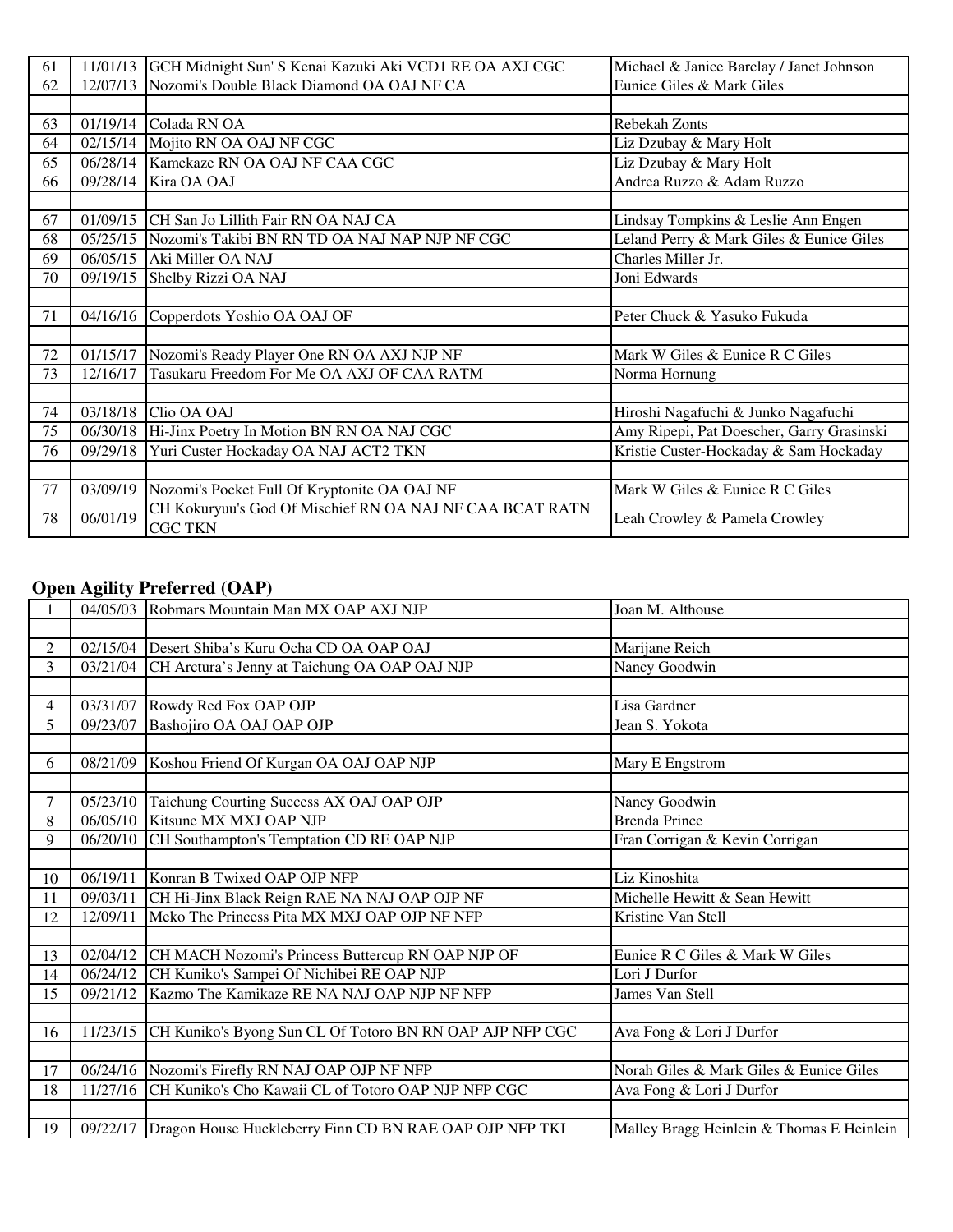| 61 |          | 11/01/13 GCH Midnight Sun' S Kenai Kazuki Aki VCD1 RE OA AXJ CGC           | Michael & Janice Barclay / Janet Johnson  |
|----|----------|----------------------------------------------------------------------------|-------------------------------------------|
| 62 |          | 12/07/13 Nozomi's Double Black Diamond OA OAJ NF CA                        | Eunice Giles & Mark Giles                 |
|    |          |                                                                            |                                           |
| 63 |          | 01/19/14 Colada RN OA                                                      | Rebekah Zonts                             |
| 64 |          | 02/15/14 Mojito RN OA OAJ NF CGC                                           | Liz Dzubay & Mary Holt                    |
| 65 |          | 06/28/14 Kamekaze RN OA OAJ NF CAA CGC                                     | Liz Dzubay & Mary Holt                    |
| 66 |          | 09/28/14 Kira OA OAJ                                                       | Andrea Ruzzo & Adam Ruzzo                 |
|    |          |                                                                            |                                           |
| 67 |          | 01/09/15 CH San Jo Lillith Fair RN OA NAJ CA                               | Lindsay Tompkins & Leslie Ann Engen       |
| 68 |          | 05/25/15 Nozomi's Takibi BN RN TD OA NAJ NAP NJP NF CGC                    | Leland Perry & Mark Giles & Eunice Giles  |
| 69 |          | 06/05/15 Aki Miller OA NAJ                                                 | Charles Miller Jr.                        |
| 70 |          | 09/19/15 Shelby Rizzi OA NAJ                                               | Joni Edwards                              |
|    |          |                                                                            |                                           |
| 71 |          | 04/16/16 Copperdots Yoshio OA OAJ OF                                       | Peter Chuck & Yasuko Fukuda               |
|    |          |                                                                            |                                           |
| 72 | 01/15/17 | Nozomi's Ready Player One RN OA AXJ NJP NF                                 | Mark W Giles & Eunice R C Giles           |
| 73 | 12/16/17 | Tasukaru Freedom For Me OA AXJ OF CAA RATM                                 | Norma Hornung                             |
|    |          |                                                                            |                                           |
| 74 |          | 03/18/18 Clio OA OAJ                                                       | Hiroshi Nagafuchi & Junko Nagafuchi       |
| 75 |          | 06/30/18 Hi-Jinx Poetry In Motion BN RN OA NAJ CGC                         | Amy Ripepi, Pat Doescher, Garry Grasinski |
| 76 |          | 09/29/18 Yuri Custer Hockaday OA NAJ ACT2 TKN                              | Kristie Custer-Hockaday & Sam Hockaday    |
|    |          |                                                                            |                                           |
| 77 | 03/09/19 | Nozomi's Pocket Full Of Kryptonite OA OAJ NF                               | Mark W Giles & Eunice R C Giles           |
| 78 | 06/01/19 | CH Kokuryuu's God Of Mischief RN OA NAJ NF CAA BCAT RATN<br><b>CGC TKN</b> | Leah Crowley & Pamela Crowley             |

#### **Open Agility Preferred (OAP)**

|        |          | 04/05/03 Robmars Mountain Man MX OAP AXJ NJP                       | Joan M. Althouse                          |
|--------|----------|--------------------------------------------------------------------|-------------------------------------------|
|        |          |                                                                    |                                           |
| 2      |          | 02/15/04 Desert Shiba's Kuru Ocha CD OA OAP OAJ                    | Marijane Reich                            |
| 3      |          | 03/21/04 CH Arctura's Jenny at Taichung OA OAP OAJ NJP             | Nancy Goodwin                             |
|        |          |                                                                    |                                           |
| 4      |          | 03/31/07 Rowdy Red Fox OAP OJP                                     | Lisa Gardner                              |
| 5      |          | 09/23/07 Bashojiro OA OAJ OAP OJP                                  | Jean S. Yokota                            |
|        |          |                                                                    |                                           |
| 6      |          | 08/21/09 Koshou Friend Of Kurgan OA OAJ OAP NJP                    | Mary E Engstrom                           |
|        |          |                                                                    |                                           |
| $\tau$ |          | 05/23/10 Taichung Courting Success AX OAJ OAP OJP                  | Nancy Goodwin                             |
| 8      |          | 06/05/10 Kitsune MX MXJ OAP NJP                                    | <b>Brenda Prince</b>                      |
| 9      |          | 06/20/10 CH Southampton's Temptation CD RE OAP NJP                 | Fran Corrigan & Kevin Corrigan            |
|        |          |                                                                    |                                           |
| 10     | 06/19/11 | Konran B Twixed OAP OJP NFP                                        | Liz Kinoshita                             |
| 11     | 09/03/11 | CH Hi-Jinx Black Reign RAE NA NAJ OAP OJP NF                       | Michelle Hewitt & Sean Hewitt             |
| 12     | 12/09/11 | Meko The Princess Pita MX MXJ OAP OJP NF NFP                       | Kristine Van Stell                        |
|        |          |                                                                    |                                           |
| 13     |          | 02/04/12 CH MACH Nozomi's Princess Buttercup RN OAP NJP OF         | Eunice R C Giles & Mark W Giles           |
| 14     |          | 06/24/12 CH Kuniko's Sampei Of Nichibei RE OAP NJP                 | Lori J Durfor                             |
| 15     |          | 09/21/12 Kazmo The Kamikaze RE NA NAJ OAP NJP NF NFP               | James Van Stell                           |
|        |          |                                                                    |                                           |
| 16     |          | 11/23/15 CH Kuniko's Byong Sun CL Of Totoro BN RN OAP AJP NFP CGC  | Ava Fong & Lori J Durfor                  |
|        |          |                                                                    |                                           |
| 17     |          | 06/24/16 Nozomi's Firefly RN NAJ OAP OJP NF NFP                    | Norah Giles & Mark Giles & Eunice Giles   |
| 18     |          | 11/27/16 CH Kuniko's Cho Kawaii CL of Totoro OAP NJP NFP CGC       | Ava Fong & Lori J Durfor                  |
|        |          |                                                                    |                                           |
| 19     |          | 09/22/17   Dragon House Huckleberry Finn CD BN RAE OAP OJP NFP TKI | Malley Bragg Heinlein & Thomas E Heinlein |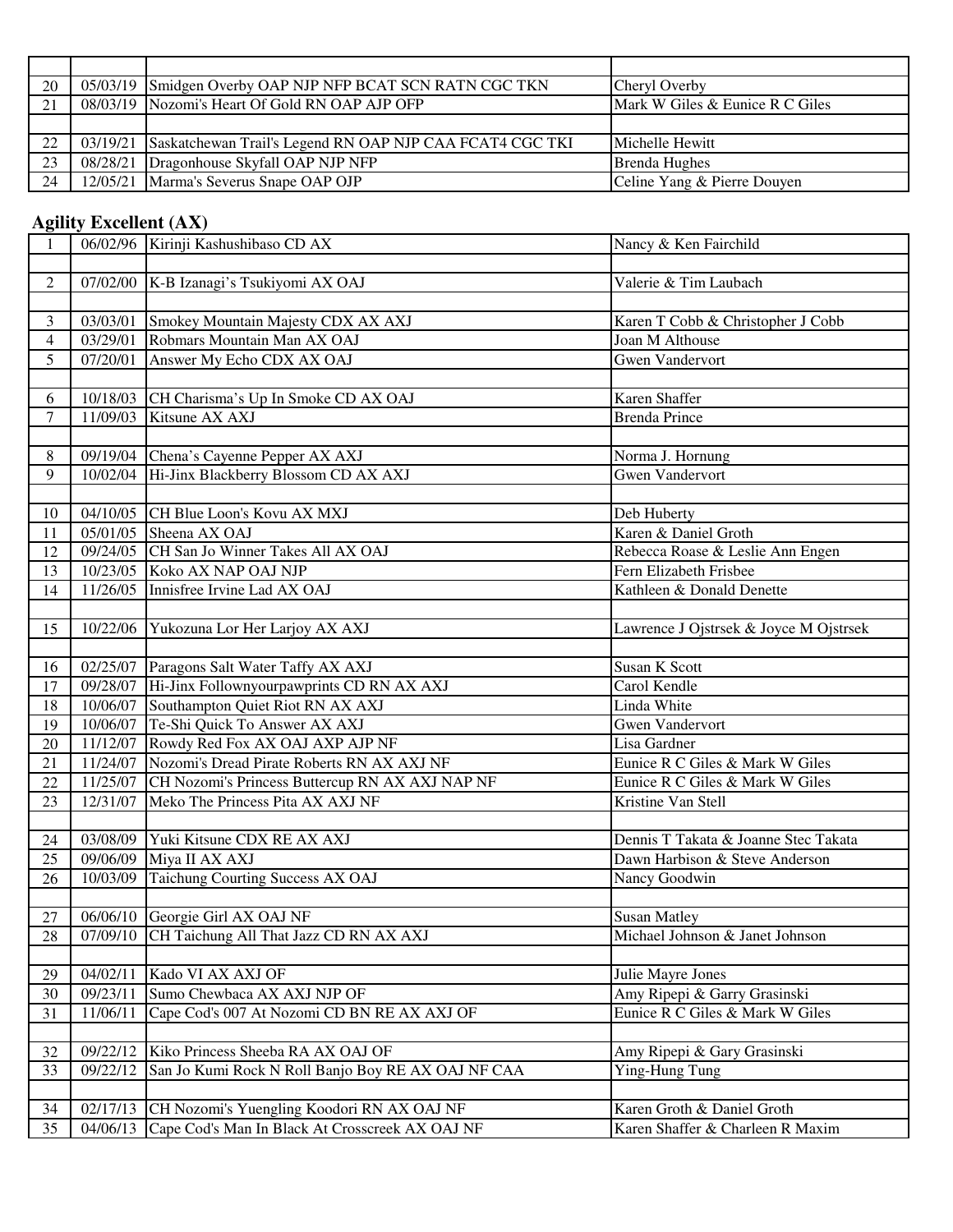| 20 | 05/03/19 Smidgen Overby OAP NJP NFP BCAT SCN RATN CGC TKN         | Cheryl Overby                   |
|----|-------------------------------------------------------------------|---------------------------------|
| 21 | 08/03/19 Nozomi's Heart Of Gold RN OAP AJP OFP                    | Mark W Giles & Eunice R C Giles |
|    |                                                                   |                                 |
| 22 | 03/19/21 Saskatchewan Trail's Legend RN OAP NJP CAA FCAT4 CGC TKI | Michelle Hewitt                 |
| 23 | 08/28/21 Dragonhouse Skyfall OAP NJP NFP                          | <b>Brenda Hughes</b>            |
| 24 | 12/05/21 Marma's Severus Snape OAP OJP                            | Celine Yang & Pierre Douyen     |

## **Agility Excellent (AX)**

| 1                        |          | 06/02/96 Kirinji Kashushibaso CD AX                      | Nancy & Ken Fairchild                  |
|--------------------------|----------|----------------------------------------------------------|----------------------------------------|
|                          |          |                                                          |                                        |
| $\overline{2}$           |          | 07/02/00 K-B Izanagi's Tsukiyomi AX OAJ                  | Valerie & Tim Laubach                  |
|                          |          |                                                          |                                        |
| $\overline{3}$           | 03/03/01 | Smokey Mountain Majesty CDX AX AXJ                       | Karen T Cobb & Christopher J Cobb      |
| $\overline{\mathcal{A}}$ | 03/29/01 | Robmars Mountain Man AX OAJ                              | Joan M Althouse                        |
| 5                        | 07/20/01 | Answer My Echo CDX AX OAJ                                | <b>Gwen Vandervort</b>                 |
|                          |          |                                                          |                                        |
| 6                        |          | 10/18/03 CH Charisma's Up In Smoke CD AX OAJ             | Karen Shaffer                          |
| 7                        |          | 11/09/03 Kitsune AX AXJ                                  | <b>Brenda Prince</b>                   |
|                          |          |                                                          |                                        |
| $8\,$                    |          | 09/19/04 Chena's Cayenne Pepper AX AXJ                   | Norma J. Hornung                       |
| 9                        |          | 10/02/04 Hi-Jinx Blackberry Blossom CD AX AXJ            | <b>Gwen Vandervort</b>                 |
|                          |          |                                                          |                                        |
| 10                       |          | 04/10/05 CH Blue Loon's Kovu AX MXJ                      | Deb Huberty                            |
| 11                       |          | 05/01/05 Sheena AX OAJ                                   | Karen & Daniel Groth                   |
| 12                       |          | 09/24/05 CH San Jo Winner Takes All AX OAJ               | Rebecca Roase & Leslie Ann Engen       |
| 13                       |          | 10/23/05 Koko AX NAP OAJ NJP                             | Fern Elizabeth Frisbee                 |
| 14                       | 11/26/05 | Innisfree Irvine Lad AX OAJ                              | Kathleen & Donald Denette              |
|                          |          |                                                          |                                        |
| 15                       | 10/22/06 | Yukozuna Lor Her Larjoy AX AXJ                           | Lawrence J Ojstrsek & Joyce M Ojstrsek |
|                          |          |                                                          |                                        |
| 16                       |          | 02/25/07 Paragons Salt Water Taffy AX AXJ                | <b>Susan K Scott</b>                   |
| 17                       |          | 09/28/07 Hi-Jinx Follownyourpawprints CD RN AX AXJ       | Carol Kendle                           |
| 18                       | 10/06/07 | Southampton Quiet Riot RN AX AXJ                         | Linda White                            |
| 19                       |          | 10/06/07 Te-Shi Quick To Answer AX AXJ                   | <b>Gwen Vandervort</b>                 |
| 20                       |          | 11/12/07 Rowdy Red Fox AX OAJ AXP AJP NF                 | Lisa Gardner                           |
| 21                       |          | 11/24/07 Nozomi's Dread Pirate Roberts RN AX AXJ NF      | Eunice R C Giles & Mark W Giles        |
| 22                       |          | 11/25/07 CH Nozomi's Princess Buttercup RN AX AXJ NAP NF | Eunice R C Giles & Mark W Giles        |
| 23                       | 12/31/07 | Meko The Princess Pita AX AXJ NF                         | Kristine Van Stell                     |
|                          |          |                                                          |                                        |
| 24                       |          | 03/08/09 Yuki Kitsune CDX RE AX AXJ                      | Dennis T Takata & Joanne Stec Takata   |
| 25                       |          | 09/06/09 Miya II AX AXJ                                  | Dawn Harbison & Steve Anderson         |
| 26                       | 10/03/09 | Taichung Courting Success AX OAJ                         | Nancy Goodwin                          |
|                          |          |                                                          |                                        |
| 27                       |          | 06/06/10 Georgie Girl AX OAJ NF                          | <b>Susan Matley</b>                    |
| $\overline{28}$          |          | 07/09/10 CH Taichung All That Jazz CD RN AX AXJ          | Michael Johnson & Janet Johnson        |
|                          | 04/02/11 | Kado VI AX AXJ OF                                        | Julie Mayre Jones                      |
| 29<br>30                 | 09/23/11 | Sumo Chewbaca AX AXJ NJP OF                              | Amy Ripepi & Garry Grasinski           |
|                          | 11/06/11 | Cape Cod's 007 At Nozomi CD BN RE AX AXJ OF              | Eunice R C Giles & Mark W Giles        |
| 31                       |          |                                                          |                                        |
| 32                       | 09/22/12 | Kiko Princess Sheeba RA AX OAJ OF                        | Amy Ripepi & Gary Grasinski            |
| 33                       | 09/22/12 | San Jo Kumi Rock N Roll Banjo Boy RE AX OAJ NF CAA       | Ying-Hung Tung                         |
|                          |          |                                                          |                                        |
| 34                       | 02/17/13 | CH Nozomi's Yuengling Koodori RN AX OAJ NF               | Karen Groth & Daniel Groth             |
| 35                       | 04/06/13 | Cape Cod's Man In Black At Crosscreek AX OAJ NF          | Karen Shaffer & Charleen R Maxim       |
|                          |          |                                                          |                                        |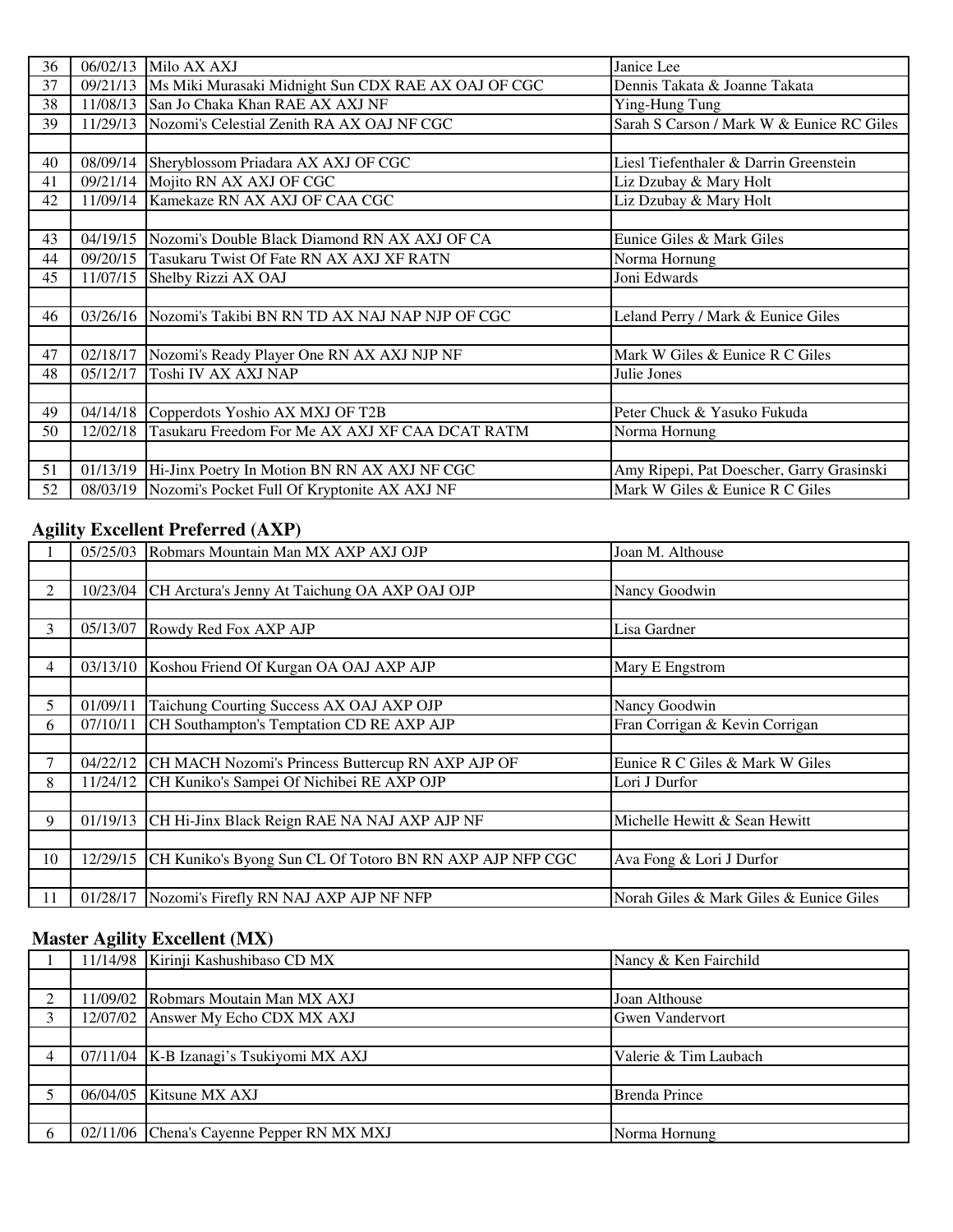| 36 | 06/02/13 | Milo AX AXJ                                                    | Janice Lee                                |
|----|----------|----------------------------------------------------------------|-------------------------------------------|
| 37 |          | 09/21/13   Ms Miki Murasaki Midnight Sun CDX RAE AX OAJ OF CGC | Dennis Takata & Joanne Takata             |
| 38 |          | 11/08/13 San Jo Chaka Khan RAE AX AXJ NF                       | Ying-Hung Tung                            |
| 39 | 11/29/13 | Nozomi's Celestial Zenith RA AX OAJ NF CGC                     | Sarah S Carson / Mark W & Eunice RC Giles |
|    |          |                                                                |                                           |
| 40 |          | 08/09/14 Sheryblossom Priadara AX AXJ OF CGC                   | Liesl Tiefenthaler & Darrin Greenstein    |
| 41 |          | 09/21/14 Mojito RN AX AXJ OF CGC                               | Liz Dzubay & Mary Holt                    |
| 42 |          | 11/09/14 Kamekaze RN AX AXJ OF CAA CGC                         | Liz Dzubay & Mary Holt                    |
|    |          |                                                                |                                           |
| 43 |          | 04/19/15 Nozomi's Double Black Diamond RN AX AXJ OF CA         | Eunice Giles & Mark Giles                 |
| 44 |          | 09/20/15 Tasukaru Twist Of Fate RN AX AXJ XF RATN              | Norma Hornung                             |
| 45 |          | 11/07/15 Shelby Rizzi AX OAJ                                   | Joni Edwards                              |
|    |          |                                                                |                                           |
| 46 |          | 03/26/16 Nozomi's Takibi BN RN TD AX NAJ NAP NJP OF CGC        | Leland Perry / Mark & Eunice Giles        |
|    |          |                                                                |                                           |
| 47 |          | 02/18/17 Nozomi's Ready Player One RN AX AXJ NJP NF            | Mark W Giles & Eunice R C Giles           |
| 48 | 05/12/17 | Toshi IV AX AXJ NAP                                            | Julie Jones                               |
|    |          |                                                                |                                           |
| 49 | 04/14/18 | Copperdots Yoshio AX MXJ OF T2B                                | Peter Chuck & Yasuko Fukuda               |
| 50 | 12/02/18 | Tasukaru Freedom For Me AX AXJ XF CAA DCAT RATM                | Norma Hornung                             |
|    |          |                                                                |                                           |
| 51 | 01/13/19 | Hi-Jinx Poetry In Motion BN RN AX AXJ NF CGC                   | Amy Ripepi, Pat Doescher, Garry Grasinski |
| 52 |          | 08/03/19 Nozomi's Pocket Full Of Kryptonite AX AXJ NF          | Mark W Giles & Eunice R C Giles           |

# **Agility Excellent Preferred (AXP)**

| o   |          | 05/25/03 Robmars Mountain Man MX AXP AXJ OJP               | Joan M. Althouse                        |
|-----|----------|------------------------------------------------------------|-----------------------------------------|
|     |          |                                                            |                                         |
| 2   |          | 10/23/04 CH Arctura's Jenny At Taichung OA AXP OAJ OJP     | Nancy Goodwin                           |
|     |          |                                                            |                                         |
| 3   | 05/13/07 | Rowdy Red Fox AXP AJP                                      | Lisa Gardner                            |
|     |          |                                                            |                                         |
| 4   | 03/13/10 | Koshou Friend Of Kurgan OA OAJ AXP AJP                     | Mary E Engstrom                         |
|     |          |                                                            |                                         |
| 5   | 01/09/11 | Taichung Courting Success AX OAJ AXP OJP                   | Nancy Goodwin                           |
| 6   | 07/10/11 | CH Southampton's Temptation CD RE AXP AJP                  | Fran Corrigan & Kevin Corrigan          |
|     |          |                                                            |                                         |
| 7   |          | 04/22/12 CH MACH Nozomi's Princess Buttercup RN AXP AJP OF | Eunice R C Giles & Mark W Giles         |
| 8   | 11/24/12 | CH Kuniko's Sampei Of Nichibei RE AXP OJP                  | Lori J Durfor                           |
|     |          |                                                            |                                         |
| 9   | 01/19/13 | CH Hi-Jinx Black Reign RAE NA NAJ AXP AJP NF               | Michelle Hewitt & Sean Hewitt           |
|     |          |                                                            |                                         |
| 10  | 12/29/15 | CH Kuniko's Byong Sun CL Of Totoro BN RN AXP AJP NFP CGC   | Ava Fong & Lori J Durfor                |
|     |          |                                                            |                                         |
| -11 | 01/28/17 | Nozomi's Firefly RN NAJ AXP AJP NF NFP                     | Norah Giles & Mark Giles & Eunice Giles |

## **Master Agility Excellent (MX)**

|  | 11/14/98 Kirinji Kashushibaso CD MX       | Nancy & Ken Fairchild  |
|--|-------------------------------------------|------------------------|
|  |                                           |                        |
|  | 11/09/02 Robmars Moutain Man MX AXJ       | Joan Althouse          |
|  | 12/07/02 Answer My Echo CDX MX AXJ        | <b>Gwen Vandervort</b> |
|  |                                           |                        |
|  | 07/11/04   K-B Izanagi's Tsukiyomi MX AXJ | Valerie & Tim Laubach  |
|  |                                           |                        |
|  | $06/04/05$ Kitsune MX AXJ                 | <b>Brenda Prince</b>   |
|  |                                           |                        |
|  | 02/11/06 Chena's Cayenne Pepper RN MX MXJ | Norma Hornung          |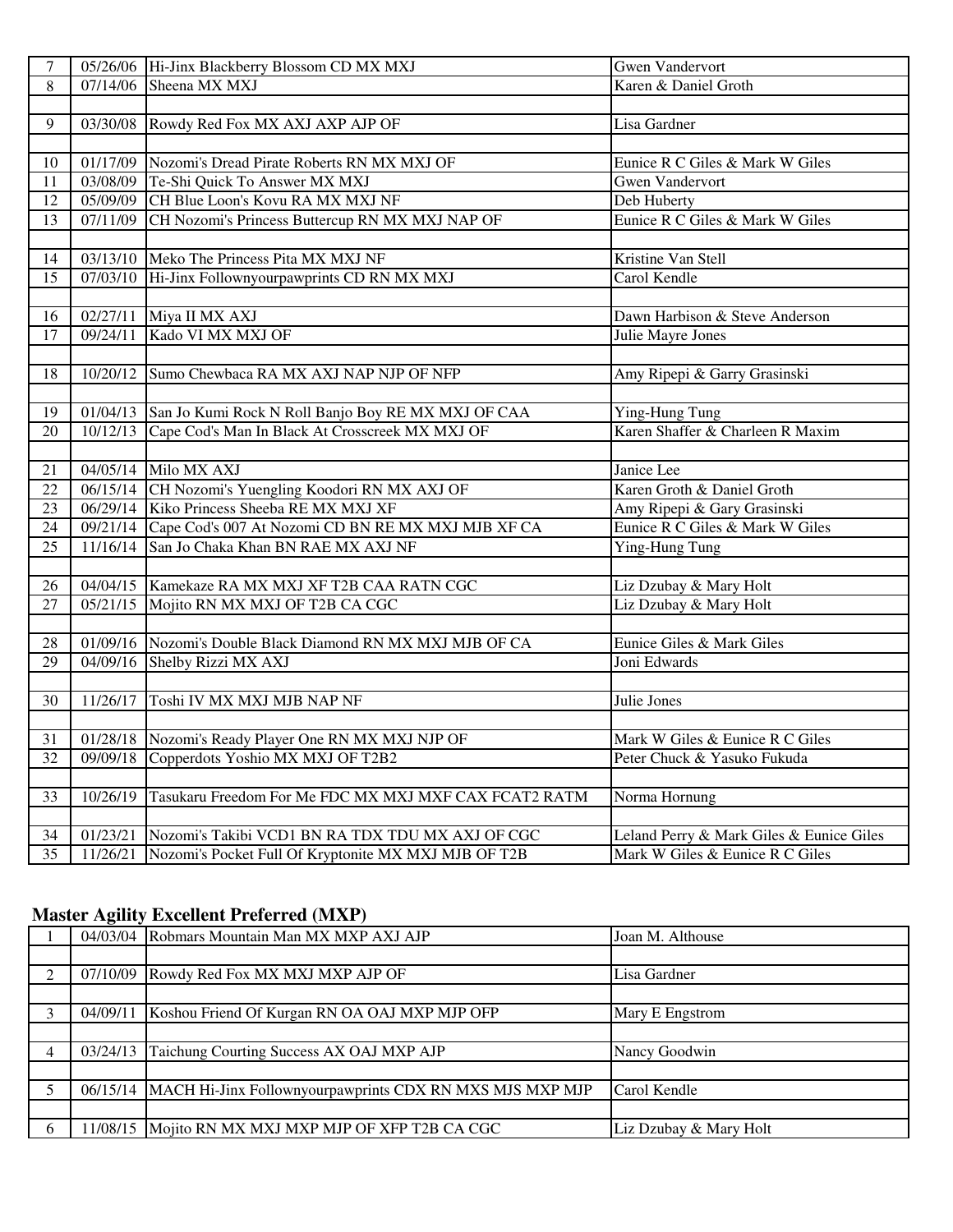| $\tau$          |          | 05/26/06 Hi-Jinx Blackberry Blossom CD MX MXJ               | <b>Gwen Vandervort</b>                   |
|-----------------|----------|-------------------------------------------------------------|------------------------------------------|
| 8               |          | 07/14/06 Sheena MX MXJ                                      | Karen & Daniel Groth                     |
|                 |          |                                                             |                                          |
| 9               |          | 03/30/08 Rowdy Red Fox MX AXJ AXP AJP OF                    | Lisa Gardner                             |
|                 |          |                                                             |                                          |
| 10              |          | 01/17/09 Nozomi's Dread Pirate Roberts RN MX MXJ OF         | Eunice R C Giles & Mark W Giles          |
| 11              |          | 03/08/09 Te-Shi Quick To Answer MX MXJ                      | <b>Gwen Vandervort</b>                   |
| $\overline{12}$ |          | 05/09/09 CH Blue Loon's Kovu RA MX MXJ NF                   | Deb Huberty                              |
| 13              |          | 07/11/09 CH Nozomi's Princess Buttercup RN MX MXJ NAP OF    | Eunice R C Giles & Mark W Giles          |
|                 |          |                                                             |                                          |
| 14              |          | 03/13/10 Meko The Princess Pita MX MXJ NF                   | Kristine Van Stell                       |
| $\overline{15}$ |          | 07/03/10 Hi-Jinx Follownyourpawprints CD RN MX MXJ          | Carol Kendle                             |
|                 |          |                                                             |                                          |
| 16              |          | 02/27/11 Miya II MX AXJ                                     | Dawn Harbison & Steve Anderson           |
| 17              |          | 09/24/11 Kado VI MX MXJ OF                                  | Julie Mayre Jones                        |
|                 |          |                                                             |                                          |
| 18              |          | 10/20/12 Sumo Chewbaca RA MX AXJ NAP NJP OF NFP             | Amy Ripepi & Garry Grasinski             |
|                 |          |                                                             |                                          |
| 19              |          | 01/04/13 San Jo Kumi Rock N Roll Banjo Boy RE MX MXJ OF CAA | Ying-Hung Tung                           |
| 20              |          | 10/12/13 Cape Cod's Man In Black At Crosscreek MX MXJ OF    | Karen Shaffer & Charleen R Maxim         |
|                 |          |                                                             |                                          |
| 21              |          | 04/05/14 Milo MX AXJ                                        | Janice Lee                               |
| $\overline{22}$ |          | 06/15/14 CH Nozomi's Yuengling Koodori RN MX AXJ OF         | Karen Groth & Daniel Groth               |
| 23              |          | 06/29/14 Kiko Princess Sheeba RE MX MXJ XF                  | Amy Ripepi & Gary Grasinski              |
| 24              |          | 09/21/14 Cape Cod's 007 At Nozomi CD BN RE MX MXJ MJB XF CA | Eunice R C Giles & Mark W Giles          |
| 25              |          | 11/16/14 San Jo Chaka Khan BN RAE MX AXJ NF                 | Ying-Hung Tung                           |
|                 |          |                                                             |                                          |
| 26              |          | 04/04/15 Kamekaze RA MX MXJ XF T2B CAA RATN CGC             | Liz Dzubay & Mary Holt                   |
| $\overline{27}$ |          | 05/21/15 Mojito RN MX MXJ OF T2B CA CGC                     | Liz Dzubay & Mary Holt                   |
|                 |          |                                                             |                                          |
| 28              |          | 01/09/16 Nozomi's Double Black Diamond RN MX MXJ MJB OF CA  | Eunice Giles & Mark Giles                |
| 29              |          | 04/09/16 Shelby Rizzi MX AXJ                                | Joni Edwards                             |
|                 |          |                                                             |                                          |
| 30              | 11/26/17 | Toshi IV MX MXJ MJB NAP NF                                  | Julie Jones                              |
|                 |          |                                                             |                                          |
| 31              |          | 01/28/18 Nozomi's Ready Player One RN MX MXJ NJP OF         | Mark W Giles & Eunice R C Giles          |
| 32              |          | 09/09/18 Copperdots Yoshio MX MXJ OF T2B2                   | Peter Chuck & Yasuko Fukuda              |
|                 |          |                                                             |                                          |
| 33              | 10/26/19 | Tasukaru Freedom For Me FDC MX MXJ MXF CAX FCAT2 RATM       | Norma Hornung                            |
|                 |          |                                                             |                                          |
| 34              | 01/23/21 | Nozomi's Takibi VCD1 BN RA TDX TDU MX AXJ OF CGC            | Leland Perry & Mark Giles & Eunice Giles |
| $\overline{35}$ | 11/26/21 | Nozomi's Pocket Full Of Kryptonite MX MXJ MJB OF T2B        | Mark W Giles & Eunice R C Giles          |

#### **Master Agility Excellent Preferred (MXP)**

|          | 04/03/04 Robmars Mountain Man MX MXP AXJ AJP                      | Joan M. Althouse       |
|----------|-------------------------------------------------------------------|------------------------|
|          |                                                                   |                        |
| $\gamma$ | 07/10/09 Rowdy Red Fox MX MXJ MXP AJP OF                          | Lisa Gardner           |
|          |                                                                   |                        |
|          | 04/09/11 Koshou Friend Of Kurgan RN OA OAJ MXP MJP OFP            | Mary E Engstrom        |
|          |                                                                   |                        |
| 4        | 03/24/13 Taichung Courting Success AX OAJ MXP AJP                 | Nancy Goodwin          |
|          |                                                                   |                        |
|          | 06/15/14 MACH Hi-Jinx Follownyourpawprints CDX RN MXS MJS MXP MJP | Carol Kendle           |
|          |                                                                   |                        |
|          | 11/08/15 Mojito RN MX MXJ MXP MJP OF XFP T2B CA CGC               | Liz Dzubay & Mary Holt |